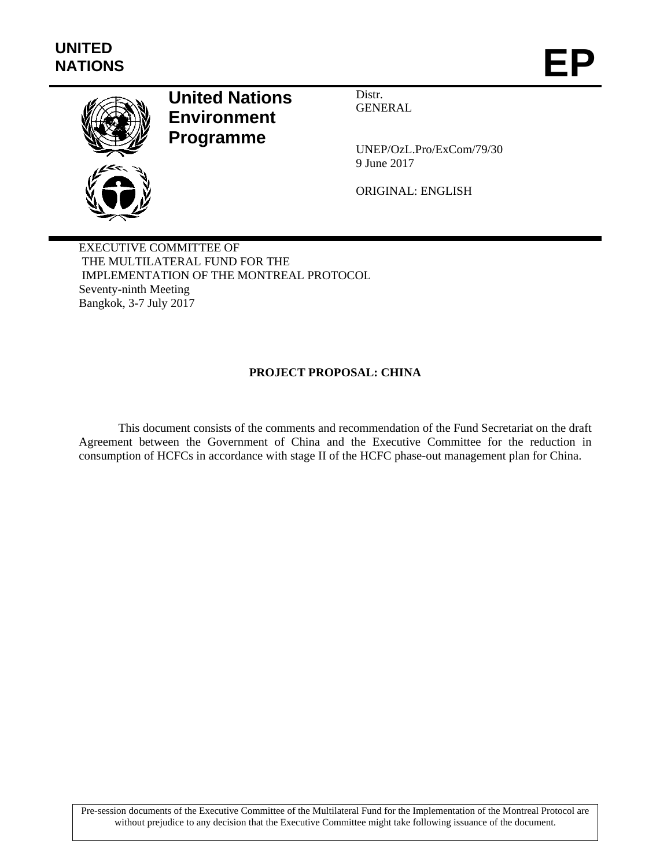

# **United Nations Environment Programme**

Distr. GENERAL

UNEP/OzL.Pro/ExCom/79/30 9 June 2017

ORIGINAL: ENGLISH

EXECUTIVE COMMITTEE OF THE MULTILATERAL FUND FOR THE IMPLEMENTATION OF THE MONTREAL PROTOCOL Seventy-ninth Meeting Bangkok, 3-7 July 2017

# **PROJECT PROPOSAL: CHINA**

This document consists of the comments and recommendation of the Fund Secretariat on the draft Agreement between the Government of China and the Executive Committee for the reduction in consumption of HCFCs in accordance with stage II of the HCFC phase-out management plan for China.

Pre-session documents of the Executive Committee of the Multilateral Fund for the Implementation of the Montreal Protocol are without prejudice to any decision that the Executive Committee might take following issuance of the document.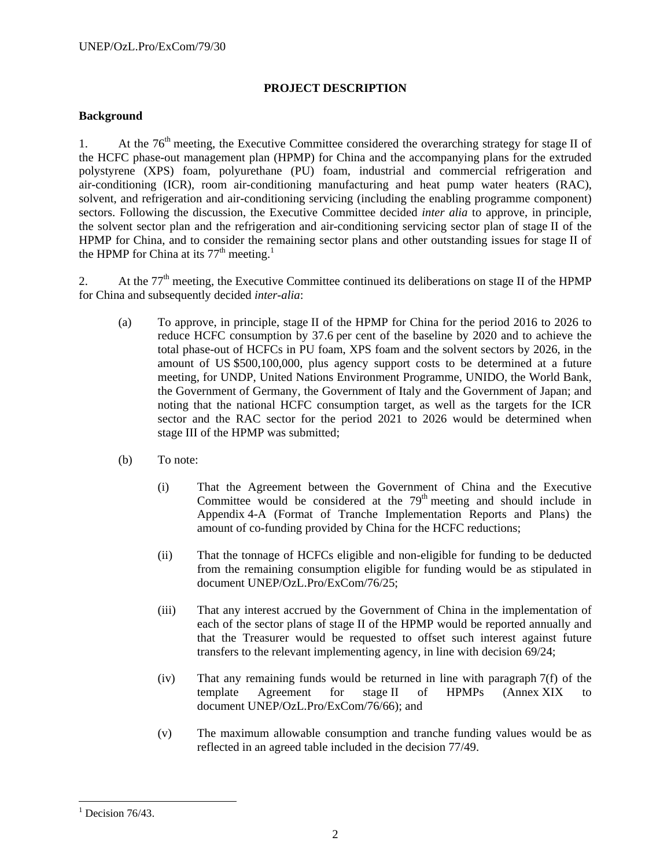# **PROJECT DESCRIPTION**

# **Background**

1. At the  $76<sup>th</sup>$  meeting, the Executive Committee considered the overarching strategy for stage II of the HCFC phase-out management plan (HPMP) for China and the accompanying plans for the extruded polystyrene (XPS) foam, polyurethane (PU) foam, industrial and commercial refrigeration and air-conditioning (ICR), room air-conditioning manufacturing and heat pump water heaters (RAC), solvent, and refrigeration and air-conditioning servicing (including the enabling programme component) sectors. Following the discussion, the Executive Committee decided *inter alia* to approve, in principle, the solvent sector plan and the refrigeration and air-conditioning servicing sector plan of stage II of the HPMP for China, and to consider the remaining sector plans and other outstanding issues for stage II of the HPMP for China at its  $77<sup>th</sup>$  meeting.<sup>1</sup>

2. At the  $77<sup>th</sup>$  meeting, the Executive Committee continued its deliberations on stage II of the HPMP for China and subsequently decided *inter-alia*:

- (a) To approve, in principle, stage II of the HPMP for China for the period 2016 to 2026 to reduce HCFC consumption by 37.6 per cent of the baseline by 2020 and to achieve the total phase-out of HCFCs in PU foam, XPS foam and the solvent sectors by 2026, in the amount of US \$500,100,000, plus agency support costs to be determined at a future meeting, for UNDP, United Nations Environment Programme, UNIDO, the World Bank, the Government of Germany, the Government of Italy and the Government of Japan; and noting that the national HCFC consumption target, as well as the targets for the ICR sector and the RAC sector for the period 2021 to 2026 would be determined when stage III of the HPMP was submitted;
- (b) To note:
	- (i) That the Agreement between the Government of China and the Executive Committee would be considered at the  $79<sup>th</sup>$  meeting and should include in Appendix 4-A (Format of Tranche Implementation Reports and Plans) the amount of co-funding provided by China for the HCFC reductions;
	- (ii) That the tonnage of HCFCs eligible and non-eligible for funding to be deducted from the remaining consumption eligible for funding would be as stipulated in document UNEP/OzL.Pro/ExCom/76/25;
	- (iii) That any interest accrued by the Government of China in the implementation of each of the sector plans of stage II of the HPMP would be reported annually and that the Treasurer would be requested to offset such interest against future transfers to the relevant implementing agency, in line with decision 69/24;
	- (iv) That any remaining funds would be returned in line with paragraph 7(f) of the template Agreement for stage II of HPMPs (Annex XIX to document UNEP/OzL.Pro/ExCom/76/66); and
	- (v) The maximum allowable consumption and tranche funding values would be as reflected in an agreed table included in the decision 77/49.

-

<sup>&</sup>lt;sup>1</sup> Decision 76/43.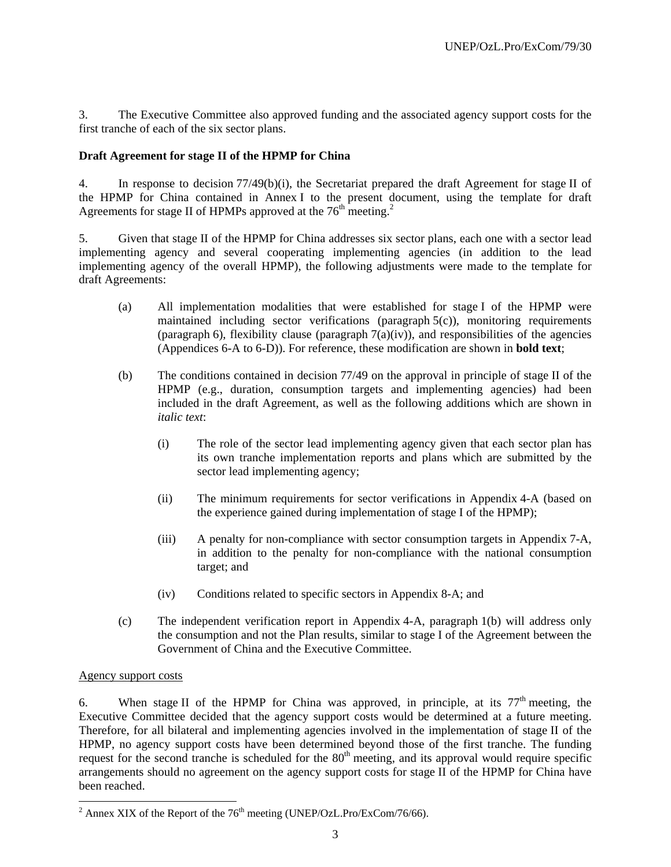3. The Executive Committee also approved funding and the associated agency support costs for the first tranche of each of the six sector plans.

# **Draft Agreement for stage II of the HPMP for China**

4. In response to decision 77/49(b)(i), the Secretariat prepared the draft Agreement for stage II of the HPMP for China contained in Annex I to the present document, using the template for draft Agreements for stage II of HPMPs approved at the  $76<sup>th</sup>$  meeting.<sup>2</sup>

5. Given that stage II of the HPMP for China addresses six sector plans, each one with a sector lead implementing agency and several cooperating implementing agencies (in addition to the lead implementing agency of the overall HPMP), the following adjustments were made to the template for draft Agreements:

- (a) All implementation modalities that were established for stage I of the HPMP were maintained including sector verifications (paragraph  $5(c)$ ), monitoring requirements (paragraph 6), flexibility clause (paragraph  $7(a)(iv)$ ), and responsibilities of the agencies (Appendices 6-A to 6-D)). For reference, these modification are shown in **bold text**;
- (b) The conditions contained in decision 77/49 on the approval in principle of stage II of the HPMP (e.g., duration, consumption targets and implementing agencies) had been included in the draft Agreement, as well as the following additions which are shown in *italic text*:
	- (i) The role of the sector lead implementing agency given that each sector plan has its own tranche implementation reports and plans which are submitted by the sector lead implementing agency;
	- (ii) The minimum requirements for sector verifications in Appendix 4-A (based on the experience gained during implementation of stage I of the HPMP);
	- (iii) A penalty for non-compliance with sector consumption targets in Appendix 7-A, in addition to the penalty for non-compliance with the national consumption target; and
	- (iv) Conditions related to specific sectors in Appendix 8-A; and
- (c) The independent verification report in Appendix 4-A, paragraph 1(b) will address only the consumption and not the Plan results, similar to stage I of the Agreement between the Government of China and the Executive Committee.

# Agency support costs

6. When stage II of the HPMP for China was approved, in principle, at its  $77<sup>th</sup>$  meeting, the Executive Committee decided that the agency support costs would be determined at a future meeting. Therefore, for all bilateral and implementing agencies involved in the implementation of stage II of the HPMP, no agency support costs have been determined beyond those of the first tranche. The funding request for the second tranche is scheduled for the  $80<sup>th</sup>$  meeting, and its approval would require specific arrangements should no agreement on the agency support costs for stage II of the HPMP for China have been reached.

 $\frac{1}{2}$  Annex XIX of the Report of the 76<sup>th</sup> meeting (UNEP/OzL.Pro/ExCom/76/66).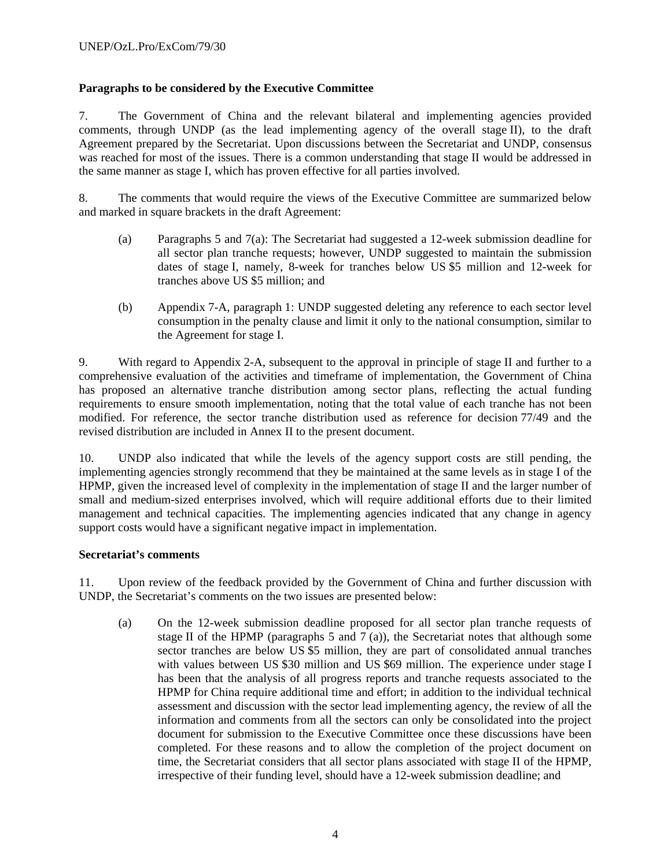# **Paragraphs to be considered by the Executive Committee**

7. The Government of China and the relevant bilateral and implementing agencies provided comments, through UNDP (as the lead implementing agency of the overall stage II), to the draft Agreement prepared by the Secretariat. Upon discussions between the Secretariat and UNDP, consensus was reached for most of the issues. There is a common understanding that stage II would be addressed in the same manner as stage I, which has proven effective for all parties involved.

8. The comments that would require the views of the Executive Committee are summarized below and marked in square brackets in the draft Agreement:

- (a) Paragraphs 5 and 7(a): The Secretariat had suggested a 12-week submission deadline for all sector plan tranche requests; however, UNDP suggested to maintain the submission dates of stage I, namely, 8-week for tranches below US \$5 million and 12-week for tranches above US \$5 million; and
- (b) Appendix 7-A, paragraph 1: UNDP suggested deleting any reference to each sector level consumption in the penalty clause and limit it only to the national consumption, similar to the Agreement for stage I.

9. With regard to Appendix 2-A, subsequent to the approval in principle of stage II and further to a comprehensive evaluation of the activities and timeframe of implementation, the Government of China has proposed an alternative tranche distribution among sector plans, reflecting the actual funding requirements to ensure smooth implementation, noting that the total value of each tranche has not been modified. For reference, the sector tranche distribution used as reference for decision 77/49 and the revised distribution are included in Annex II to the present document.

10. UNDP also indicated that while the levels of the agency support costs are still pending, the implementing agencies strongly recommend that they be maintained at the same levels as in stage I of the HPMP, given the increased level of complexity in the implementation of stage II and the larger number of small and medium-sized enterprises involved, which will require additional efforts due to their limited management and technical capacities. The implementing agencies indicated that any change in agency support costs would have a significant negative impact in implementation.

# **Secretariat's comments**

11. Upon review of the feedback provided by the Government of China and further discussion with UNDP, the Secretariat's comments on the two issues are presented below:

(a) On the 12-week submission deadline proposed for all sector plan tranche requests of stage II of the HPMP (paragraphs 5 and 7 (a)), the Secretariat notes that although some sector tranches are below US \$5 million, they are part of consolidated annual tranches with values between US \$30 million and US \$69 million. The experience under stage I has been that the analysis of all progress reports and tranche requests associated to the HPMP for China require additional time and effort; in addition to the individual technical assessment and discussion with the sector lead implementing agency, the review of all the information and comments from all the sectors can only be consolidated into the project document for submission to the Executive Committee once these discussions have been completed. For these reasons and to allow the completion of the project document on time, the Secretariat considers that all sector plans associated with stage II of the HPMP, irrespective of their funding level, should have a 12-week submission deadline; and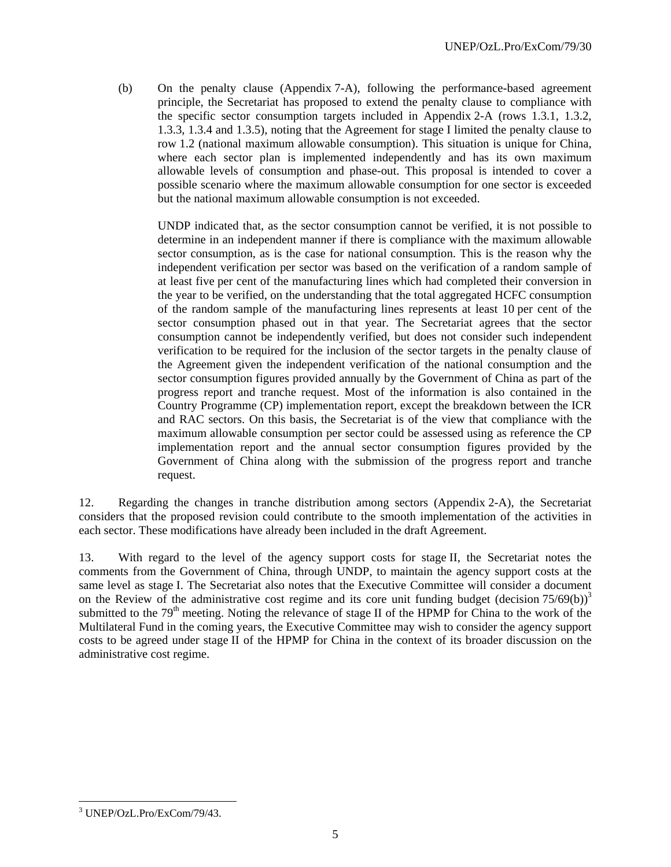(b) On the penalty clause (Appendix 7-A), following the performance-based agreement principle, the Secretariat has proposed to extend the penalty clause to compliance with the specific sector consumption targets included in Appendix 2-A (rows 1.3.1, 1.3.2, 1.3.3, 1.3.4 and 1.3.5), noting that the Agreement for stage I limited the penalty clause to row 1.2 (national maximum allowable consumption). This situation is unique for China, where each sector plan is implemented independently and has its own maximum allowable levels of consumption and phase-out. This proposal is intended to cover a possible scenario where the maximum allowable consumption for one sector is exceeded but the national maximum allowable consumption is not exceeded.

UNDP indicated that, as the sector consumption cannot be verified, it is not possible to determine in an independent manner if there is compliance with the maximum allowable sector consumption, as is the case for national consumption. This is the reason why the independent verification per sector was based on the verification of a random sample of at least five per cent of the manufacturing lines which had completed their conversion in the year to be verified, on the understanding that the total aggregated HCFC consumption of the random sample of the manufacturing lines represents at least 10 per cent of the sector consumption phased out in that year. The Secretariat agrees that the sector consumption cannot be independently verified, but does not consider such independent verification to be required for the inclusion of the sector targets in the penalty clause of the Agreement given the independent verification of the national consumption and the sector consumption figures provided annually by the Government of China as part of the progress report and tranche request. Most of the information is also contained in the Country Programme (CP) implementation report, except the breakdown between the ICR and RAC sectors. On this basis, the Secretariat is of the view that compliance with the maximum allowable consumption per sector could be assessed using as reference the CP implementation report and the annual sector consumption figures provided by the Government of China along with the submission of the progress report and tranche request.

12. Regarding the changes in tranche distribution among sectors (Appendix 2-A), the Secretariat considers that the proposed revision could contribute to the smooth implementation of the activities in each sector. These modifications have already been included in the draft Agreement.

13. With regard to the level of the agency support costs for stage II, the Secretariat notes the comments from the Government of China, through UNDP, to maintain the agency support costs at the same level as stage I. The Secretariat also notes that the Executive Committee will consider a document on the Review of the administrative cost regime and its core unit funding budget (decision  $75/69(b)$ )<sup>3</sup> submitted to the  $79<sup>th</sup>$  meeting. Noting the relevance of stage II of the HPMP for China to the work of the Multilateral Fund in the coming years, the Executive Committee may wish to consider the agency support costs to be agreed under stage II of the HPMP for China in the context of its broader discussion on the administrative cost regime.

<sup>-</sup>3 UNEP/OzL.Pro/ExCom/79/43.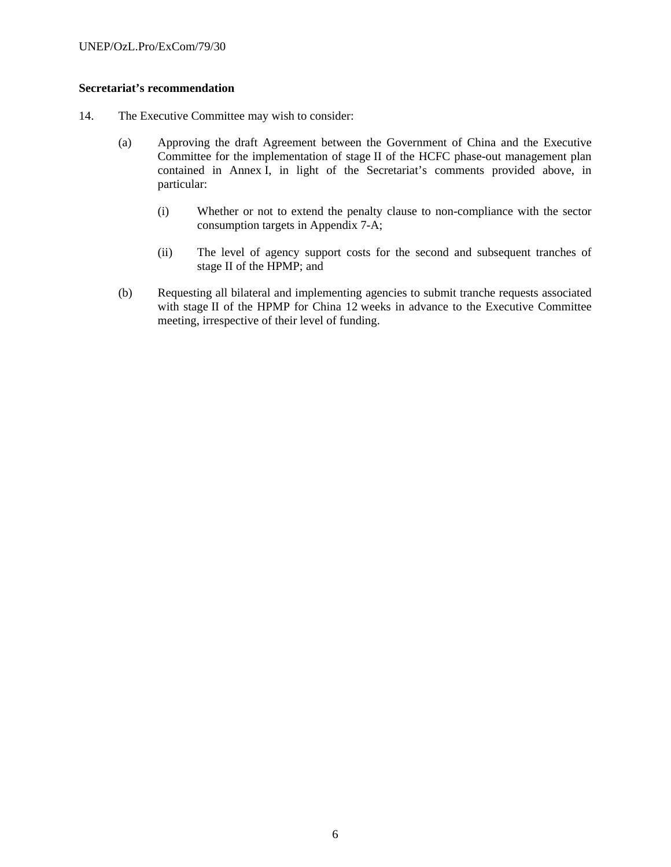# **Secretariat's recommendation**

- 14. The Executive Committee may wish to consider:
	- (a) Approving the draft Agreement between the Government of China and the Executive Committee for the implementation of stage II of the HCFC phase-out management plan contained in Annex I, in light of the Secretariat's comments provided above, in particular:
		- (i) Whether or not to extend the penalty clause to non-compliance with the sector consumption targets in Appendix 7-A;
		- (ii) The level of agency support costs for the second and subsequent tranches of stage II of the HPMP; and
	- (b) Requesting all bilateral and implementing agencies to submit tranche requests associated with stage II of the HPMP for China 12 weeks in advance to the Executive Committee meeting, irrespective of their level of funding.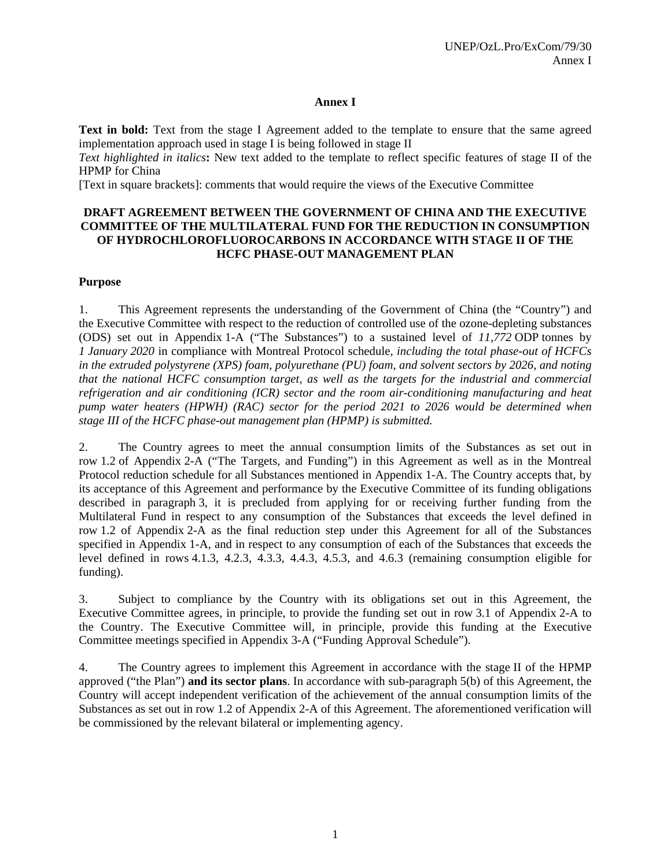# **Annex I**

**Text in bold:** Text from the stage I Agreement added to the template to ensure that the same agreed implementation approach used in stage I is being followed in stage II

*Text highlighted in italics***:** New text added to the template to reflect specific features of stage II of the HPMP for China

[Text in square brackets]: comments that would require the views of the Executive Committee

# **DRAFT AGREEMENT BETWEEN THE GOVERNMENT OF CHINA AND THE EXECUTIVE COMMITTEE OF THE MULTILATERAL FUND FOR THE REDUCTION IN CONSUMPTION OF HYDROCHLOROFLUOROCARBONS IN ACCORDANCE WITH STAGE II OF THE HCFC PHASE-OUT MANAGEMENT PLAN**

# **Purpose**

1. This Agreement represents the understanding of the Government of China (the "Country") and the Executive Committee with respect to the reduction of controlled use of the ozone-depleting substances (ODS) set out in Appendix 1-A ("The Substances") to a sustained level of *11,772* ODP tonnes by *1 January 2020* in compliance with Montreal Protocol schedule*, including the total phase-out of HCFCs in the extruded polystyrene (XPS) foam, polyurethane (PU) foam, and solvent sectors by 2026, and noting that the national HCFC consumption target, as well as the targets for the industrial and commercial refrigeration and air conditioning (ICR) sector and the room air-conditioning manufacturing and heat pump water heaters (HPWH) (RAC) sector for the period 2021 to 2026 would be determined when stage III of the HCFC phase-out management plan (HPMP) is submitted.*

2. The Country agrees to meet the annual consumption limits of the Substances as set out in row 1.2 of Appendix 2-A ("The Targets, and Funding") in this Agreement as well as in the Montreal Protocol reduction schedule for all Substances mentioned in Appendix 1-A. The Country accepts that, by its acceptance of this Agreement and performance by the Executive Committee of its funding obligations described in paragraph 3, it is precluded from applying for or receiving further funding from the Multilateral Fund in respect to any consumption of the Substances that exceeds the level defined in row 1.2 of Appendix 2-A as the final reduction step under this Agreement for all of the Substances specified in Appendix 1-A, and in respect to any consumption of each of the Substances that exceeds the level defined in rows 4.1.3, 4.2.3, 4.3.3, 4.4.3, 4.5.3, and 4.6.3 (remaining consumption eligible for funding).

3. Subject to compliance by the Country with its obligations set out in this Agreement, the Executive Committee agrees, in principle, to provide the funding set out in row 3.1 of Appendix 2-A to the Country. The Executive Committee will, in principle, provide this funding at the Executive Committee meetings specified in Appendix 3-A ("Funding Approval Schedule").

4. The Country agrees to implement this Agreement in accordance with the stage II of the HPMP approved ("the Plan") **and its sector plans**. In accordance with sub-paragraph 5(b) of this Agreement, the Country will accept independent verification of the achievement of the annual consumption limits of the Substances as set out in row 1.2 of Appendix 2-A of this Agreement. The aforementioned verification will be commissioned by the relevant bilateral or implementing agency.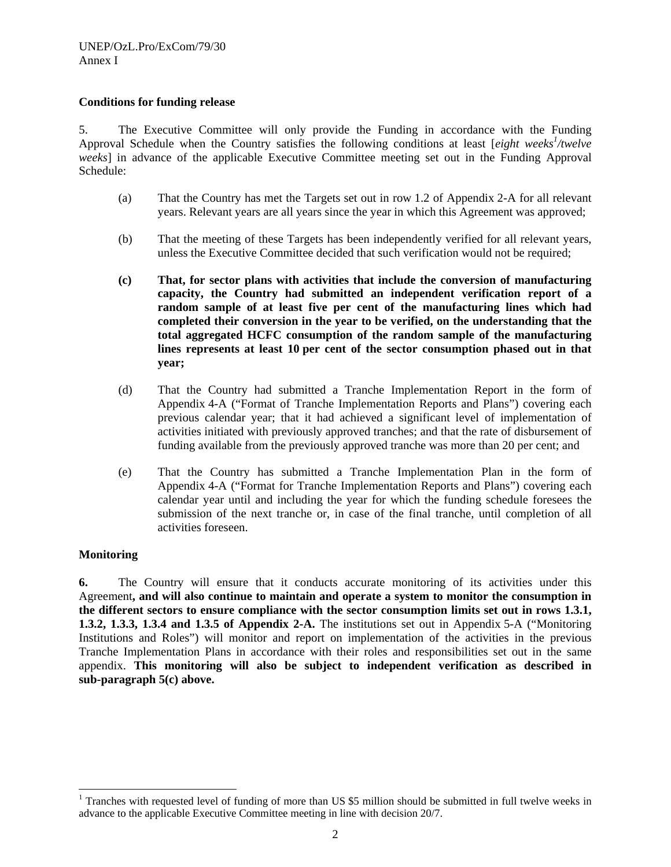# **Conditions for funding release**

5. The Executive Committee will only provide the Funding in accordance with the Funding Approval Schedule when the Country satisfies the following conditions at least [*eight weeks<sup>1</sup> /twelve weeks*] in advance of the applicable Executive Committee meeting set out in the Funding Approval Schedule:

- (a) That the Country has met the Targets set out in row 1.2 of Appendix 2-A for all relevant years. Relevant years are all years since the year in which this Agreement was approved;
- (b) That the meeting of these Targets has been independently verified for all relevant years, unless the Executive Committee decided that such verification would not be required;
- **(c) That, for sector plans with activities that include the conversion of manufacturing capacity, the Country had submitted an independent verification report of a random sample of at least five per cent of the manufacturing lines which had completed their conversion in the year to be verified, on the understanding that the total aggregated HCFC consumption of the random sample of the manufacturing lines represents at least 10 per cent of the sector consumption phased out in that year;**
- (d) That the Country had submitted a Tranche Implementation Report in the form of Appendix 4-A ("Format of Tranche Implementation Reports and Plans") covering each previous calendar year; that it had achieved a significant level of implementation of activities initiated with previously approved tranches; and that the rate of disbursement of funding available from the previously approved tranche was more than 20 per cent; and
- (e) That the Country has submitted a Tranche Implementation Plan in the form of Appendix 4-A ("Format for Tranche Implementation Reports and Plans") covering each calendar year until and including the year for which the funding schedule foresees the submission of the next tranche or, in case of the final tranche, until completion of all activities foreseen.

# **Monitoring**

1

**6.** The Country will ensure that it conducts accurate monitoring of its activities under this Agreement**, and will also continue to maintain and operate a system to monitor the consumption in the different sectors to ensure compliance with the sector consumption limits set out in rows 1.3.1, 1.3.2, 1.3.3, 1.3.4 and 1.3.5 of Appendix 2-A.** The institutions set out in Appendix 5-A ("Monitoring Institutions and Roles") will monitor and report on implementation of the activities in the previous Tranche Implementation Plans in accordance with their roles and responsibilities set out in the same appendix. **This monitoring will also be subject to independent verification as described in sub-paragraph 5(c) above.** 

<sup>&</sup>lt;sup>1</sup> Tranches with requested level of funding of more than US \$5 million should be submitted in full twelve weeks in advance to the applicable Executive Committee meeting in line with decision 20/7.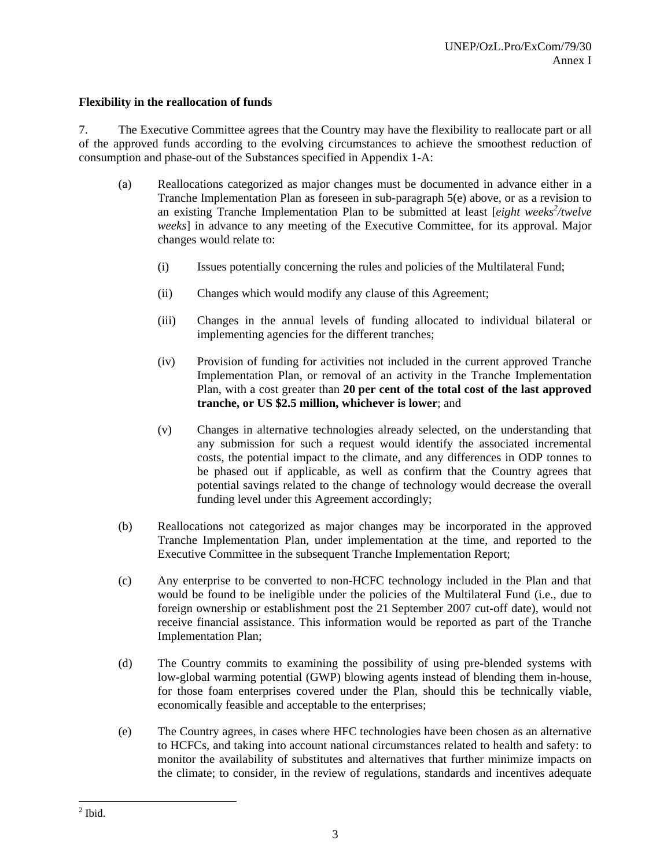# **Flexibility in the reallocation of funds**

7. The Executive Committee agrees that the Country may have the flexibility to reallocate part or all of the approved funds according to the evolving circumstances to achieve the smoothest reduction of consumption and phase-out of the Substances specified in Appendix 1-A:

- (a) Reallocations categorized as major changes must be documented in advance either in a Tranche Implementation Plan as foreseen in sub-paragraph 5(e) above, or as a revision to an existing Tranche Implementation Plan to be submitted at least [*eight weeks<sup>2</sup> /twelve weeks*] in advance to any meeting of the Executive Committee, for its approval. Major changes would relate to:
	- (i) Issues potentially concerning the rules and policies of the Multilateral Fund;
	- (ii) Changes which would modify any clause of this Agreement;
	- (iii) Changes in the annual levels of funding allocated to individual bilateral or implementing agencies for the different tranches;
	- (iv) Provision of funding for activities not included in the current approved Tranche Implementation Plan, or removal of an activity in the Tranche Implementation Plan, with a cost greater than **20 per cent of the total cost of the last approved tranche, or US \$2.5 million, whichever is lower**; and
	- (v) Changes in alternative technologies already selected, on the understanding that any submission for such a request would identify the associated incremental costs, the potential impact to the climate, and any differences in ODP tonnes to be phased out if applicable, as well as confirm that the Country agrees that potential savings related to the change of technology would decrease the overall funding level under this Agreement accordingly;
- (b) Reallocations not categorized as major changes may be incorporated in the approved Tranche Implementation Plan, under implementation at the time, and reported to the Executive Committee in the subsequent Tranche Implementation Report;
- (c) Any enterprise to be converted to non-HCFC technology included in the Plan and that would be found to be ineligible under the policies of the Multilateral Fund (i.e., due to foreign ownership or establishment post the 21 September 2007 cut-off date), would not receive financial assistance. This information would be reported as part of the Tranche Implementation Plan;
- (d) The Country commits to examining the possibility of using pre-blended systems with low-global warming potential (GWP) blowing agents instead of blending them in-house, for those foam enterprises covered under the Plan, should this be technically viable, economically feasible and acceptable to the enterprises;
- (e) The Country agrees, in cases where HFC technologies have been chosen as an alternative to HCFCs, and taking into account national circumstances related to health and safety: to monitor the availability of substitutes and alternatives that further minimize impacts on the climate; to consider, in the review of regulations, standards and incentives adequate

 $\frac{2}{2}$  Ibid.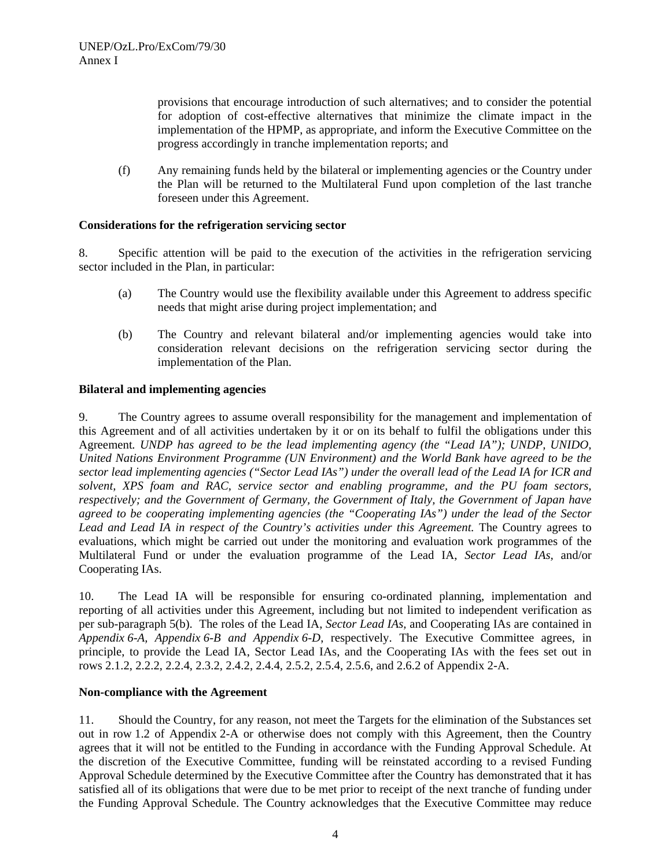provisions that encourage introduction of such alternatives; and to consider the potential for adoption of cost-effective alternatives that minimize the climate impact in the implementation of the HPMP, as appropriate, and inform the Executive Committee on the progress accordingly in tranche implementation reports; and

(f) Any remaining funds held by the bilateral or implementing agencies or the Country under the Plan will be returned to the Multilateral Fund upon completion of the last tranche foreseen under this Agreement.

# **Considerations for the refrigeration servicing sector**

8. Specific attention will be paid to the execution of the activities in the refrigeration servicing sector included in the Plan, in particular:

- (a) The Country would use the flexibility available under this Agreement to address specific needs that might arise during project implementation; and
- (b) The Country and relevant bilateral and/or implementing agencies would take into consideration relevant decisions on the refrigeration servicing sector during the implementation of the Plan.

# **Bilateral and implementing agencies**

9. The Country agrees to assume overall responsibility for the management and implementation of this Agreement and of all activities undertaken by it or on its behalf to fulfil the obligations under this Agreement*. UNDP has agreed to be the lead implementing agency (the "Lead IA"); UNDP, UNIDO, United Nations Environment Programme (UN Environment) and the World Bank have agreed to be the sector lead implementing agencies ("Sector Lead IAs") under the overall lead of the Lead IA for ICR and solvent, XPS foam and RAC, service sector and enabling programme, and the PU foam sectors, respectively; and the Government of Germany, the Government of Italy, the Government of Japan have agreed to be cooperating implementing agencies (the "Cooperating IAs") under the lead of the Sector Lead and Lead IA in respect of the Country's activities under this Agreement.* The Country agrees to evaluations, which might be carried out under the monitoring and evaluation work programmes of the Multilateral Fund or under the evaluation programme of the Lead IA, *Sector Lead IAs,* and/or Cooperating IAs.

10. The Lead IA will be responsible for ensuring co-ordinated planning, implementation and reporting of all activities under this Agreement, including but not limited to independent verification as per sub-paragraph 5(b). The roles of the Lead IA, *Sector Lead IAs,* and Cooperating IAs are contained in *Appendix 6-A, Appendix 6-B and Appendix 6-D*, respectively. The Executive Committee agrees, in principle, to provide the Lead IA, Sector Lead IAs, and the Cooperating IAs with the fees set out in rows 2.1.2, 2.2.2, 2.2.4, 2.3.2, 2.4.2, 2.4.4, 2.5.2, 2.5.4, 2.5.6, and 2.6.2 of Appendix 2-A.

# **Non-compliance with the Agreement**

11. Should the Country, for any reason, not meet the Targets for the elimination of the Substances set out in row 1.2 of Appendix 2-A or otherwise does not comply with this Agreement, then the Country agrees that it will not be entitled to the Funding in accordance with the Funding Approval Schedule. At the discretion of the Executive Committee, funding will be reinstated according to a revised Funding Approval Schedule determined by the Executive Committee after the Country has demonstrated that it has satisfied all of its obligations that were due to be met prior to receipt of the next tranche of funding under the Funding Approval Schedule. The Country acknowledges that the Executive Committee may reduce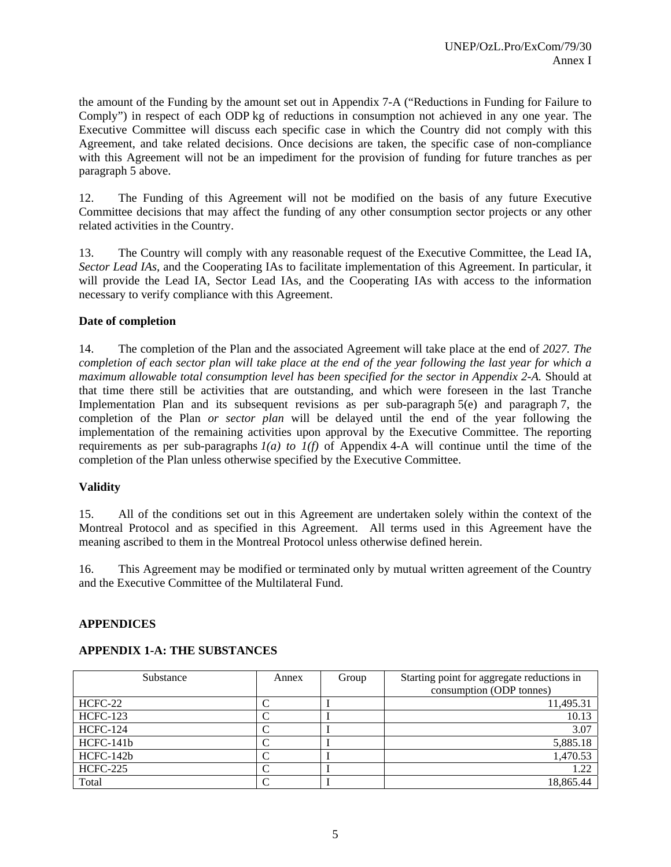the amount of the Funding by the amount set out in Appendix 7-A ("Reductions in Funding for Failure to Comply") in respect of each ODP kg of reductions in consumption not achieved in any one year. The Executive Committee will discuss each specific case in which the Country did not comply with this Agreement, and take related decisions. Once decisions are taken, the specific case of non-compliance with this Agreement will not be an impediment for the provision of funding for future tranches as per paragraph 5 above.

12. The Funding of this Agreement will not be modified on the basis of any future Executive Committee decisions that may affect the funding of any other consumption sector projects or any other related activities in the Country.

13. The Country will comply with any reasonable request of the Executive Committee, the Lead IA, *Sector Lead IAs,* and the Cooperating IAs to facilitate implementation of this Agreement. In particular, it will provide the Lead IA, Sector Lead IAs, and the Cooperating IAs with access to the information necessary to verify compliance with this Agreement.

# **Date of completion**

14. The completion of the Plan and the associated Agreement will take place at the end of *2027. The completion of each sector plan will take place at the end of the year following the last year for which a maximum allowable total consumption level has been specified for the sector in Appendix 2-A.* Should at that time there still be activities that are outstanding, and which were foreseen in the last Tranche Implementation Plan and its subsequent revisions as per sub-paragraph 5(e) and paragraph 7, the completion of the Plan *or sector plan* will be delayed until the end of the year following the implementation of the remaining activities upon approval by the Executive Committee. The reporting requirements as per sub-paragraphs *1(a) to 1(f)* of Appendix 4-A will continue until the time of the completion of the Plan unless otherwise specified by the Executive Committee.

# **Validity**

15. All of the conditions set out in this Agreement are undertaken solely within the context of the Montreal Protocol and as specified in this Agreement. All terms used in this Agreement have the meaning ascribed to them in the Montreal Protocol unless otherwise defined herein.

16. This Agreement may be modified or terminated only by mutual written agreement of the Country and the Executive Committee of the Multilateral Fund.

#### **APPENDICES**

#### **APPENDIX 1-A: THE SUBSTANCES**

| Substance       | Annex | Group | Starting point for aggregate reductions in<br>consumption (ODP tonnes) |
|-----------------|-------|-------|------------------------------------------------------------------------|
| HCFC-22         |       |       | 11,495.31                                                              |
| <b>HCFC-123</b> |       |       | 10.13                                                                  |
| <b>HCFC-124</b> |       |       | 3.07                                                                   |
| HCFC-141b       |       |       | 5,885.18                                                               |
| HCFC-142b       |       |       | 1,470.53                                                               |
| <b>HCFC-225</b> |       |       | 1.22                                                                   |
| Total           |       |       | 18,865.44                                                              |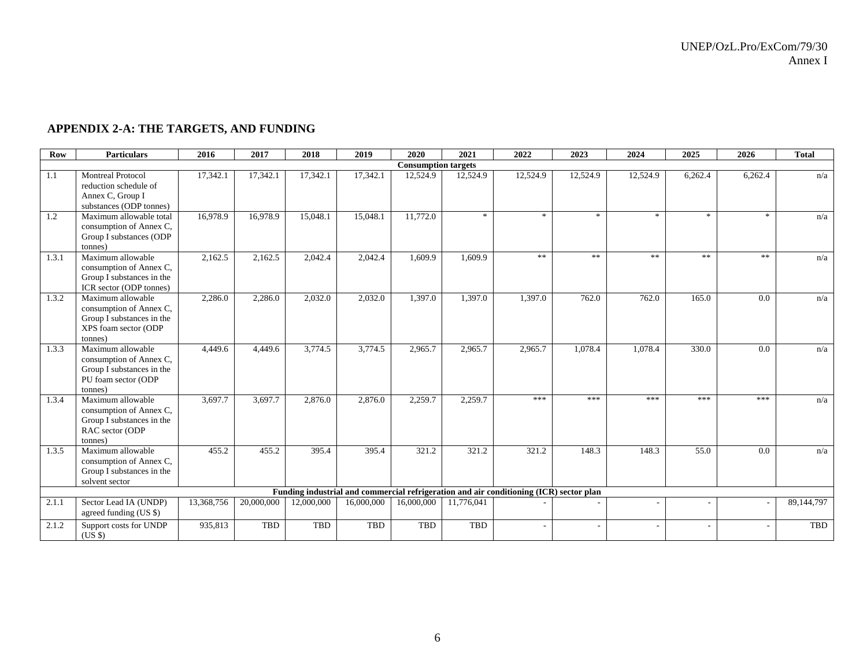# **APPENDIX 2-A: THE TARGETS, AND FUNDING**

| Row   | <b>Particulars</b>                                                                                           | 2016       | 2017       | 2018       | 2019       | 2020                       | 2021       | 2022                                                                                   | 2023                      | 2024                     | 2025    | 2026       | <b>Total</b> |
|-------|--------------------------------------------------------------------------------------------------------------|------------|------------|------------|------------|----------------------------|------------|----------------------------------------------------------------------------------------|---------------------------|--------------------------|---------|------------|--------------|
|       |                                                                                                              |            |            |            |            | <b>Consumption targets</b> |            |                                                                                        |                           |                          |         |            |              |
| 1.1   | <b>Montreal Protocol</b><br>reduction schedule of<br>Annex C, Group I<br>substances (ODP tonnes)             | 17,342.1   | 17,342.1   | 17,342.1   | 17,342.1   | 12,524.9                   | 12,524.9   | 12,524.9                                                                               | 12,524.9                  | 12,524.9                 | 6,262.4 | 6,262.4    | n/a          |
| 1.2   | Maximum allowable total<br>consumption of Annex C,<br>Group I substances (ODP<br>tonnes)                     | 16,978.9   | 16,978.9   | 15,048.1   | 15,048.1   | 11,772.0                   | sk.        | $\ast$                                                                                 | $\frac{1}{2} \mathcal{C}$ | *                        | *       | ×.         | n/a          |
| 1.3.1 | Maximum allowable<br>consumption of Annex C,<br>Group I substances in the<br>ICR sector (ODP tonnes)         | 2,162.5    | 2,162.5    | 2,042.4    | 2,042.4    | 1,609.9                    | 1,609.9    | $**$                                                                                   | $\ast$ $\ast$             | **                       | **      | $\ast\ast$ | n/a          |
| 1.3.2 | Maximum allowable<br>consumption of Annex C,<br>Group I substances in the<br>XPS foam sector (ODP<br>tonnes) | 2,286.0    | 2,286.0    | 2,032.0    | 2,032.0    | 1,397.0                    | 1,397.0    | 1,397.0                                                                                | 762.0                     | 762.0                    | 165.0   | 0.0        | n/a          |
| 1.3.3 | Maximum allowable<br>consumption of Annex C,<br>Group I substances in the<br>PU foam sector (ODP<br>tonnes)  | 4,449.6    | 4,449.6    | 3,774.5    | 3,774.5    | 2,965.7                    | 2,965.7    | 2,965.7                                                                                | 1,078.4                   | 1,078.4                  | 330.0   | 0.0        | n/a          |
| 1.3.4 | Maximum allowable<br>consumption of Annex C,<br>Group I substances in the<br>RAC sector (ODP<br>tonnes)      | 3,697.7    | 3,697.7    | 2,876.0    | 2,876.0    | 2,259.7                    | 2,259.7    | ***                                                                                    | ***                       | ***                      | ***     | ***        | n/a          |
| 1.3.5 | Maximum allowable<br>consumption of Annex C,<br>Group I substances in the<br>solvent sector                  | 455.2      | 455.2      | 395.4      | 395.4      | 321.2                      | 321.2      | 321.2                                                                                  | 148.3                     | 148.3                    | 55.0    | 0.0        | n/a          |
|       |                                                                                                              |            |            |            |            |                            |            | Funding industrial and commercial refrigeration and air conditioning (ICR) sector plan |                           |                          |         |            |              |
| 2.1.1 | Sector Lead IA (UNDP)<br>agreed funding (US \$)                                                              | 13,368,756 | 20,000,000 | 12,000,000 | 16,000,000 | 16,000,000                 | 11,776,041 |                                                                                        |                           |                          |         |            | 89,144,797   |
| 2.1.2 | Support costs for UNDP<br>(USS)                                                                              | 935,813    | TBD        | <b>TBD</b> | <b>TBD</b> | TBD                        | TBD        | ٠                                                                                      | $\overline{a}$            | $\overline{\phantom{a}}$ |         |            | TBD          |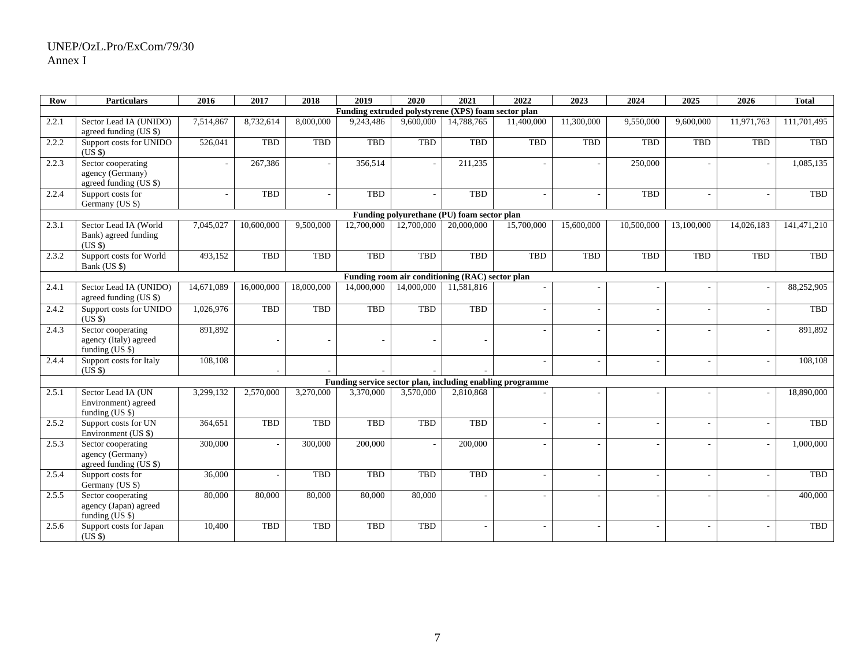# UNEP/OzL.Pro/ExCom/79/30 Annex I

| <b>Row</b> | <b>Particulars</b>                                               | 2016       | 2017       | 2018       | 2019                                                | 2020       | $\sqrt{2021}$ | 2022                                                      | 2023       | 2024                     | 2025       | 2026                     | <b>Total</b> |  |
|------------|------------------------------------------------------------------|------------|------------|------------|-----------------------------------------------------|------------|---------------|-----------------------------------------------------------|------------|--------------------------|------------|--------------------------|--------------|--|
|            |                                                                  |            |            |            | Funding extruded polystyrene (XPS) foam sector plan |            |               |                                                           |            |                          |            |                          |              |  |
| 2.2.1      | Sector Lead IA (UNIDO)<br>agreed funding $(US \$                 | 7,514,867  | 8,732,614  | 8,000,000  | 9,243,486                                           | 9,600,000  | 14,788,765    | 11,400,000                                                | 11,300,000 | 9,550,000                | 9,600,000  | 11,971,763               | 111,701,495  |  |
| 2.2.2      | Support costs for UNIDO<br>(USS)                                 | 526,041    | TBD        | <b>TBD</b> | <b>TBD</b>                                          | TBD        | TBD           | <b>TBD</b>                                                | TBD        | <b>TBD</b>               | <b>TBD</b> | <b>TBD</b>               | TBD          |  |
| 2.2.3      | Sector cooperating<br>agency (Germany)<br>agreed funding $(US \$ |            | 267,386    |            | 356.514                                             |            | 211,235       |                                                           |            | 250,000                  |            |                          | 1.085.135    |  |
| 2.2.4      | Support costs for<br>Germany (US \$)                             |            | TBD        |            | <b>TBD</b>                                          |            | <b>TBD</b>    |                                                           |            | <b>TBD</b>               |            |                          | <b>TBD</b>   |  |
|            | Funding polyurethane (PU) foam sector plan                       |            |            |            |                                                     |            |               |                                                           |            |                          |            |                          |              |  |
| 2.3.1      | Sector Lead IA (World<br>Bank) agreed funding<br>(USS)           | 7,045,027  | 10,600,000 | 9,500,000  | 12,700,000                                          | 12,700,000 | 20,000,000    | 15,700,000                                                | 15,600,000 | 10,500,000               | 13,100,000 | 14,026,183               | 141,471,210  |  |
| 2.3.2      | Support costs for World<br>Bank (US \$)                          | 493,152    | TBD        | <b>TBD</b> | TBD                                                 | TBD        | TBD           | <b>TBD</b>                                                | <b>TBD</b> | <b>TBD</b>               | <b>TBD</b> | <b>TBD</b>               | TBD          |  |
|            | Funding room air conditioning (RAC) sector plan                  |            |            |            |                                                     |            |               |                                                           |            |                          |            |                          |              |  |
| 2.4.1      | Sector Lead IA (UNIDO)<br>agreed funding (US \$)                 | 14,671,089 | 16,000,000 | 18,000,000 | 14,000,000                                          | 14,000,000 | 11,581,816    |                                                           |            |                          |            |                          | 88,252,905   |  |
| 2.4.2      | Support costs for UNIDO<br>(US \$)                               | 1,026,976  | TBD        | <b>TBD</b> | <b>TBD</b>                                          | TBD        | TBD           |                                                           |            |                          |            |                          | TBD          |  |
| 2.4.3      | Sector cooperating<br>agency (Italy) agreed<br>funding (US \$)   | 891,892    |            |            |                                                     |            |               |                                                           |            | $\overline{a}$           |            |                          | 891,892      |  |
| 2.4.4      | Support costs for Italy<br>(US \$)                               | 108,108    |            |            |                                                     |            |               |                                                           |            |                          |            |                          | 108,108      |  |
|            |                                                                  |            |            |            |                                                     |            |               | Funding service sector plan, including enabling programme |            |                          |            |                          |              |  |
| 2.5.1      | Sector Lead IA (UN<br>Environment) agreed<br>funding $(US \$     | 3,299,132  | 2,570,000  | 3.270,000  | 3.370,000                                           | 3.570,000  | 2,810,868     |                                                           |            |                          |            |                          | 18,890,000   |  |
| 2.5.2      | Support costs for UN<br>Environment (US \$)                      | 364,651    | TBD        | TBD        | <b>TBD</b>                                          | TBD        | <b>TBD</b>    | L.                                                        |            | $\overline{a}$           |            | $\overline{\phantom{a}}$ | TBD          |  |
| 2.5.3      | Sector cooperating<br>agency (Germany)<br>agreed funding (US \$) | 300,000    | $\sim$     | 300,000    | 200,000                                             |            | 200,000       |                                                           |            |                          |            | $\overline{a}$           | 1,000,000    |  |
| 2.5.4      | Support costs for<br>Germany (US \$)                             | 36,000     | $\sim$     | TBD        | TBD                                                 | TBD        | <b>TBD</b>    |                                                           |            | $\overline{\phantom{a}}$ |            |                          | <b>TBD</b>   |  |
| 2.5.5      | Sector cooperating<br>agency (Japan) agreed<br>funding (US \$)   | 80,000     | 80,000     | 80,000     | 80,000                                              | 80,000     |               | $\overline{\phantom{a}}$                                  |            | ٠                        |            | $\overline{\phantom{a}}$ | 400,000      |  |
| 2.5.6      | Support costs for Japan<br>$(US \$                               | 10,400     | <b>TBD</b> | TBD        | <b>TBD</b>                                          | TBD        |               | ÷,                                                        |            |                          |            |                          | <b>TBD</b>   |  |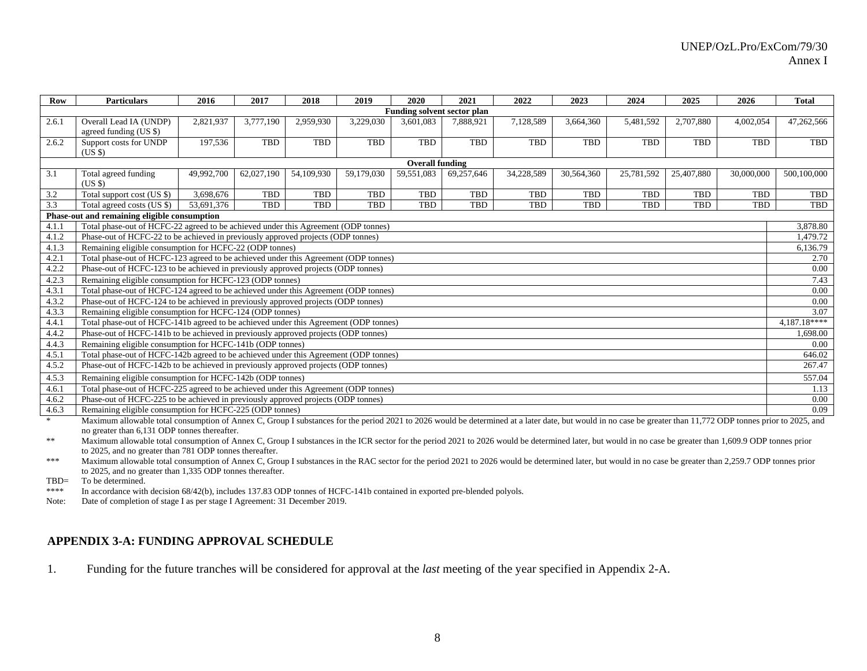| <b>Row</b>                                                                                                                                                                                                                                                                                                                                                                                                   | <b>Particulars</b>                                                                                                                                                                      | 2016                                                                                               | 2017                                                             | 2018                      | 2019                                                           | 2020                               | 2021      | 2022       | 2023       | 2024       | 2025         | 2026        | <b>Total</b>  |
|--------------------------------------------------------------------------------------------------------------------------------------------------------------------------------------------------------------------------------------------------------------------------------------------------------------------------------------------------------------------------------------------------------------|-----------------------------------------------------------------------------------------------------------------------------------------------------------------------------------------|----------------------------------------------------------------------------------------------------|------------------------------------------------------------------|---------------------------|----------------------------------------------------------------|------------------------------------|-----------|------------|------------|------------|--------------|-------------|---------------|
|                                                                                                                                                                                                                                                                                                                                                                                                              |                                                                                                                                                                                         |                                                                                                    |                                                                  |                           |                                                                | <b>Funding solvent sector plan</b> |           |            |            |            |              |             |               |
| 2.6.1                                                                                                                                                                                                                                                                                                                                                                                                        | Overall Lead IA (UNDP)<br>agreed funding (US \$)                                                                                                                                        | 2,821,937                                                                                          | 3,777,190                                                        | 2,959,930                 | 3,229,030                                                      | 3,601,083                          | 7,888,921 | 7,128,589  | 3,664,360  | 5,481,592  | 2,707,880    | 4,002,054   | 47,262,566    |
| 2.6.2                                                                                                                                                                                                                                                                                                                                                                                                        | Support costs for UNDP<br>$(US \$                                                                                                                                                       | TBD<br><b>TBD</b><br>197,536<br>TBD<br>TBD<br>TBD<br>TBD<br><b>TBD</b><br>TBD<br>TBD<br><b>TBD</b> |                                                                  |                           |                                                                |                                    |           |            |            |            |              | TBD         |               |
|                                                                                                                                                                                                                                                                                                                                                                                                              |                                                                                                                                                                                         |                                                                                                    |                                                                  |                           |                                                                | <b>Overall funding</b>             |           |            |            |            |              |             |               |
| 3.1                                                                                                                                                                                                                                                                                                                                                                                                          | 59,551,083<br>49,992,700<br>54,109,930<br>69,257,646<br>34,228,589<br>Total agreed funding<br>62,027,190<br>59,179,030<br>30,564,360<br>25,781,592<br>25,407,880<br>30,000,000<br>(USS) |                                                                                                    |                                                                  |                           |                                                                |                                    |           |            |            |            |              | 500,100,000 |               |
| 3.2                                                                                                                                                                                                                                                                                                                                                                                                          | Total support cost (US \$)                                                                                                                                                              | 3,698,676                                                                                          | TBD                                                              | TBD                       | TBD                                                            | TBD                                | TBD       | TBD        | <b>TBD</b> | TBD        | TBD          | <b>TBD</b>  | TBD           |
| 3.3                                                                                                                                                                                                                                                                                                                                                                                                          | Total agreed costs (US \$)                                                                                                                                                              | 53,691,376                                                                                         | TBD                                                              | TBD                       | <b>TBD</b>                                                     | TBD                                | TBD       | <b>TBD</b> | TBD        | <b>TBD</b> | TBD          | <b>TBD</b>  | TBD           |
| Phase-out and remaining eligible consumption<br>Total phase-out of HCFC-22 agreed to be achieved under this Agreement (ODP tonnes)<br>4.1.1<br>4.1.2<br>Phase-out of HCFC-22 to be achieved in previously approved projects (ODP tonnes)<br>Remaining eligible consumption for HCFC-22 (ODP tonnes)<br>4.1.3<br>Total phase-out of HCFC-123 agreed to be achieved under this Agreement (ODP tonnes)<br>4.2.1 |                                                                                                                                                                                         |                                                                                                    |                                                                  |                           |                                                                |                                    |           |            |            |            |              |             |               |
|                                                                                                                                                                                                                                                                                                                                                                                                              |                                                                                                                                                                                         |                                                                                                    |                                                                  |                           |                                                                |                                    |           |            |            |            |              |             | 3,878.80      |
|                                                                                                                                                                                                                                                                                                                                                                                                              |                                                                                                                                                                                         |                                                                                                    |                                                                  |                           |                                                                |                                    |           |            |            |            |              |             | 1,479.72      |
|                                                                                                                                                                                                                                                                                                                                                                                                              |                                                                                                                                                                                         |                                                                                                    |                                                                  |                           |                                                                |                                    |           |            |            |            |              |             | 6,136.79      |
|                                                                                                                                                                                                                                                                                                                                                                                                              |                                                                                                                                                                                         |                                                                                                    |                                                                  |                           |                                                                |                                    |           |            |            |            |              |             | 2.70          |
| 4.2.2                                                                                                                                                                                                                                                                                                                                                                                                        | Phase-out of HCFC-123 to be achieved in previously approved projects (ODP tonnes)                                                                                                       |                                                                                                    |                                                                  |                           |                                                                |                                    |           |            |            |            |              |             | 0.00          |
| 4.2.3                                                                                                                                                                                                                                                                                                                                                                                                        | Remaining eligible consumption for HCFC-123 (ODP tonnes)                                                                                                                                |                                                                                                    |                                                                  |                           |                                                                |                                    |           |            |            |            |              |             | 7.43          |
| 4.3.1                                                                                                                                                                                                                                                                                                                                                                                                        | Total phase-out of HCFC-124 agreed to be achieved under this Agreement (ODP tonnes)                                                                                                     |                                                                                                    |                                                                  |                           |                                                                |                                    |           |            |            |            |              |             | 0.00          |
| 4.3.2                                                                                                                                                                                                                                                                                                                                                                                                        | Phase-out of HCFC-124 to be achieved in previously approved projects (ODP tonnes)                                                                                                       |                                                                                                    |                                                                  |                           |                                                                |                                    |           |            |            |            |              |             | 0.00          |
| 4.3.3                                                                                                                                                                                                                                                                                                                                                                                                        | Remaining eligible consumption for HCFC-124 (ODP tonnes)                                                                                                                                |                                                                                                    |                                                                  |                           |                                                                |                                    |           |            |            |            |              |             | 3.07          |
| 4.4.1                                                                                                                                                                                                                                                                                                                                                                                                        | Total phase-out of HCFC-141b agreed to be achieved under this Agreement (ODP tonnes)                                                                                                    |                                                                                                    |                                                                  |                           |                                                                |                                    |           |            |            |            |              |             | $4,187.18***$ |
| 4.4.2                                                                                                                                                                                                                                                                                                                                                                                                        | Phase-out of HCFC-141b to be achieved in previously approved projects (ODP tonnes)                                                                                                      |                                                                                                    |                                                                  |                           |                                                                |                                    |           |            |            |            |              |             | 1,698.00      |
| 4.4.3                                                                                                                                                                                                                                                                                                                                                                                                        | Remaining eligible consumption for HCFC-141b (ODP tonnes)                                                                                                                               |                                                                                                    |                                                                  |                           |                                                                |                                    |           |            |            |            |              |             | 0.00          |
| 4.5.1                                                                                                                                                                                                                                                                                                                                                                                                        | Total phase-out of HCFC-142b agreed to be achieved under this Agreement (ODP tonnes)                                                                                                    |                                                                                                    |                                                                  |                           |                                                                |                                    |           |            |            |            |              |             | 646.02        |
| 4.5.2                                                                                                                                                                                                                                                                                                                                                                                                        | Phase-out of HCFC-142b to be achieved in previously approved projects (ODP tonnes)                                                                                                      |                                                                                                    |                                                                  |                           |                                                                |                                    |           |            |            |            |              |             | 267.47        |
| 4.5.3                                                                                                                                                                                                                                                                                                                                                                                                        | Remaining eligible consumption for HCFC-142b (ODP tonnes)                                                                                                                               |                                                                                                    |                                                                  |                           |                                                                |                                    |           |            |            |            |              |             | 557.04        |
| 4.6.1                                                                                                                                                                                                                                                                                                                                                                                                        | Total phase-out of HCFC-225 agreed to be achieved under this Agreement (ODP tonnes)                                                                                                     |                                                                                                    |                                                                  |                           |                                                                |                                    |           |            |            |            |              |             | 1.13          |
| 4.6.2                                                                                                                                                                                                                                                                                                                                                                                                        | Phase-out of HCFC-225 to be achieved in previously approved projects (ODP tonnes)                                                                                                       |                                                                                                    |                                                                  |                           |                                                                |                                    |           |            |            |            |              |             | 0.00          |
| 4.6.3                                                                                                                                                                                                                                                                                                                                                                                                        | Remaining eligible consumption for HCFC-225 (ODP tonnes)                                                                                                                                |                                                                                                    |                                                                  |                           |                                                                |                                    |           |            |            |            |              |             | 0.09          |
|                                                                                                                                                                                                                                                                                                                                                                                                              | $2.6 \pm 0.00$ and $2.6 \pm 0.00$ and $2.6 \pm 0.00$                                                                                                                                    |                                                                                                    | $\mathbf{r}$ $\mathbf{r}$ $\mathbf{r}$ $\mathbf{r}$ $\mathbf{r}$ | $\mathbf{r}$ $\mathbf{r}$ | $\mathcal{C}$ $\mathcal{A}$<br>$\cdot$ $\cdot$ $\cdot$ $\cdot$ | 0.02                               |           |            |            |            | $11.772$ CDD |             | 0.027         |

Maximum allowable total consumption of Annex C, Group I substances for the period 2021 to 2026 would be determined at a later date, but would in no case be greater than 11,772 ODP tonnes prior to 2025, and no greater than 6,131 ODP tonnes thereafter.

\*\* Maximum allowable total consumption of Annex C, Group I substances in the ICR sector for the period 2021 to 2026 would be determined later, but would in no case be greater than 1,609.9 ODP tonnes prior to 2025, and no greater than 781 ODP tonnes thereafter.

\*\*\* Maximum allowable total consumption of Annex C, Group I substances in the RAC sector for the period 2021 to 2026 would be determined later, but would in no case be greater than 2,259.7 ODP tonnes prior to 2025, and no greater than 1,335 ODP tonnes thereafter.

TBD= To be determined.

\*\*\*\* In accordance with decision 68/42(b), includes 137.83 ODP tonnes of HCFC-141b contained in exported pre-blended polyols.

Note: Date of completion of stage I as per stage I Agreement: 31 December 2019.

# **APPENDIX 3-A: FUNDING APPROVAL SCHEDULE**

1.Funding for the future tranches will be considered for approval at the *last* meeting of the year specified in Appendix 2-A.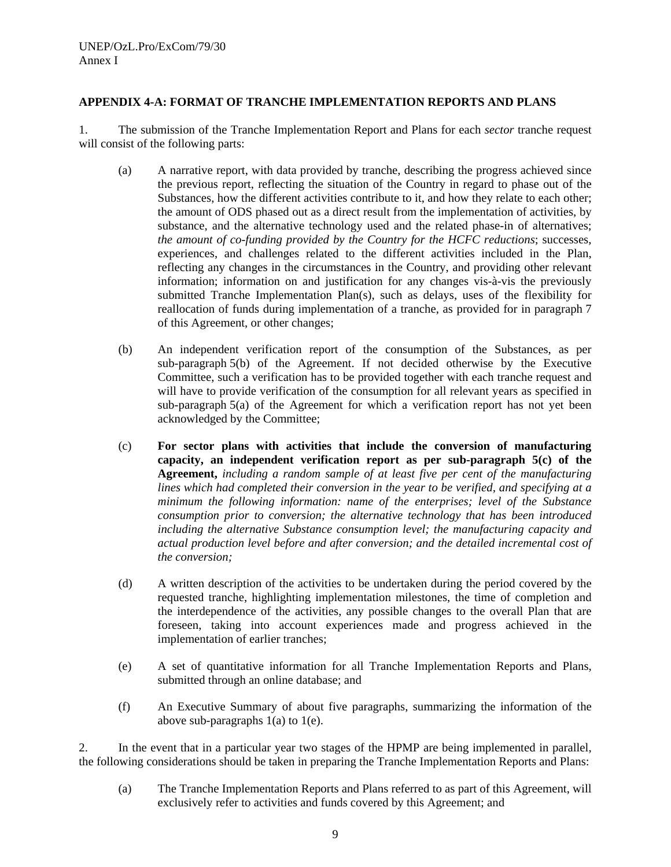# **APPENDIX 4-A: FORMAT OF TRANCHE IMPLEMENTATION REPORTS AND PLANS**

1. The submission of the Tranche Implementation Report and Plans for each *sector* tranche request will consist of the following parts:

- (a) A narrative report, with data provided by tranche, describing the progress achieved since the previous report, reflecting the situation of the Country in regard to phase out of the Substances, how the different activities contribute to it, and how they relate to each other; the amount of ODS phased out as a direct result from the implementation of activities, by substance, and the alternative technology used and the related phase-in of alternatives; *the amount of co-funding provided by the Country for the HCFC reductions*; successes, experiences, and challenges related to the different activities included in the Plan, reflecting any changes in the circumstances in the Country, and providing other relevant information; information on and justification for any changes vis-à-vis the previously submitted Tranche Implementation Plan(s), such as delays, uses of the flexibility for reallocation of funds during implementation of a tranche, as provided for in paragraph 7 of this Agreement, or other changes;
- (b) An independent verification report of the consumption of the Substances, as per sub-paragraph 5(b) of the Agreement. If not decided otherwise by the Executive Committee, such a verification has to be provided together with each tranche request and will have to provide verification of the consumption for all relevant years as specified in sub-paragraph 5(a) of the Agreement for which a verification report has not yet been acknowledged by the Committee;
- (c) **For sector plans with activities that include the conversion of manufacturing capacity, an independent verification report as per sub-paragraph 5(c) of the Agreement,** *including a random sample of at least five per cent of the manufacturing lines which had completed their conversion in the year to be verified, and specifying at a minimum the following information: name of the enterprises; level of the Substance consumption prior to conversion; the alternative technology that has been introduced including the alternative Substance consumption level; the manufacturing capacity and actual production level before and after conversion; and the detailed incremental cost of the conversion;*
- (d) A written description of the activities to be undertaken during the period covered by the requested tranche, highlighting implementation milestones, the time of completion and the interdependence of the activities, any possible changes to the overall Plan that are foreseen, taking into account experiences made and progress achieved in the implementation of earlier tranches;
- (e) A set of quantitative information for all Tranche Implementation Reports and Plans, submitted through an online database; and
- (f) An Executive Summary of about five paragraphs, summarizing the information of the above sub-paragraphs  $1(a)$  to  $1(e)$ .

2. In the event that in a particular year two stages of the HPMP are being implemented in parallel, the following considerations should be taken in preparing the Tranche Implementation Reports and Plans:

(a) The Tranche Implementation Reports and Plans referred to as part of this Agreement, will exclusively refer to activities and funds covered by this Agreement; and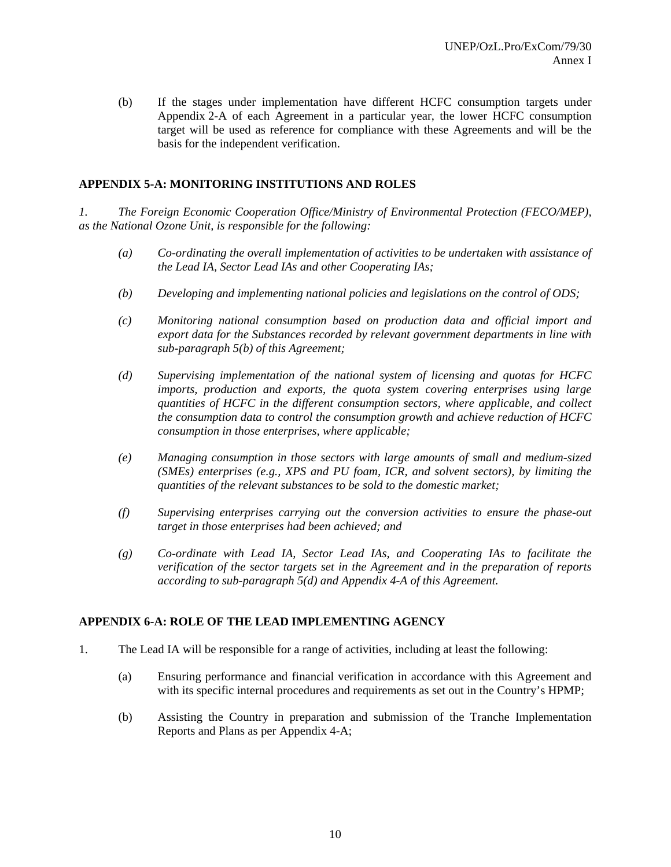(b) If the stages under implementation have different HCFC consumption targets under Appendix 2-A of each Agreement in a particular year, the lower HCFC consumption target will be used as reference for compliance with these Agreements and will be the basis for the independent verification.

# **APPENDIX 5-A: MONITORING INSTITUTIONS AND ROLES**

*1. The Foreign Economic Cooperation Office/Ministry of Environmental Protection (FECO/MEP), as the National Ozone Unit, is responsible for the following:* 

- *(a) Co-ordinating the overall implementation of activities to be undertaken with assistance of the Lead IA, Sector Lead IAs and other Cooperating IAs;*
- *(b) Developing and implementing national policies and legislations on the control of ODS;*
- *(c) Monitoring national consumption based on production data and official import and export data for the Substances recorded by relevant government departments in line with sub-paragraph 5(b) of this Agreement;*
- *(d) Supervising implementation of the national system of licensing and quotas for HCFC imports, production and exports, the quota system covering enterprises using large quantities of HCFC in the different consumption sectors, where applicable, and collect the consumption data to control the consumption growth and achieve reduction of HCFC consumption in those enterprises, where applicable;*
- *(e) Managing consumption in those sectors with large amounts of small and medium-sized (SMEs) enterprises (e.g., XPS and PU foam, ICR, and solvent sectors), by limiting the quantities of the relevant substances to be sold to the domestic market;*
- *(f) Supervising enterprises carrying out the conversion activities to ensure the phase-out target in those enterprises had been achieved; and*
- *(g) Co-ordinate with Lead IA, Sector Lead IAs, and Cooperating IAs to facilitate the verification of the sector targets set in the Agreement and in the preparation of reports according to sub-paragraph 5(d) and Appendix 4-A of this Agreement.*

# **APPENDIX 6-A: ROLE OF THE LEAD IMPLEMENTING AGENCY**

- 1. The Lead IA will be responsible for a range of activities, including at least the following:
	- (a) Ensuring performance and financial verification in accordance with this Agreement and with its specific internal procedures and requirements as set out in the Country's HPMP;
	- (b) Assisting the Country in preparation and submission of the Tranche Implementation Reports and Plans as per Appendix 4-A;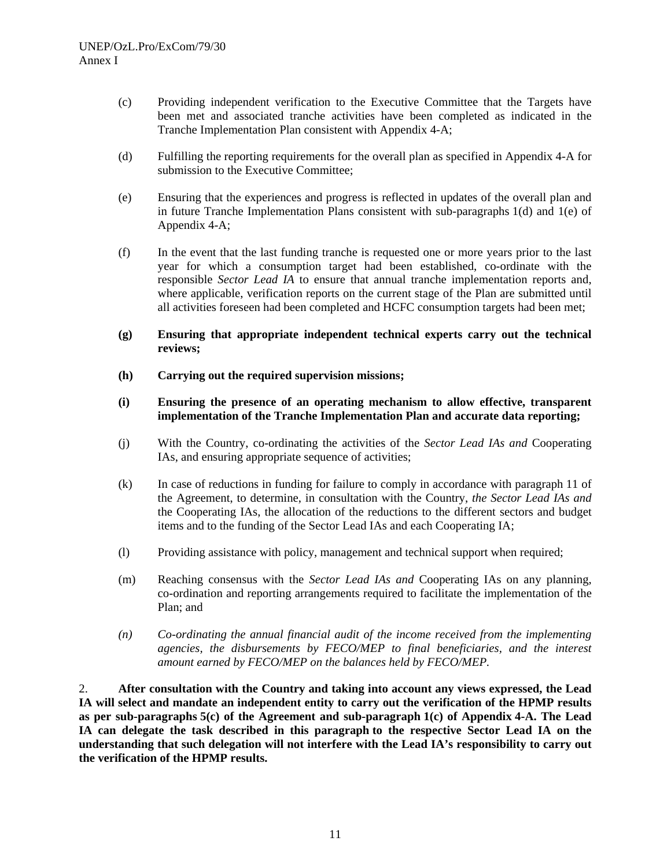- (c) Providing independent verification to the Executive Committee that the Targets have been met and associated tranche activities have been completed as indicated in the Tranche Implementation Plan consistent with Appendix 4-A;
- (d) Fulfilling the reporting requirements for the overall plan as specified in Appendix 4-A for submission to the Executive Committee;
- (e) Ensuring that the experiences and progress is reflected in updates of the overall plan and in future Tranche Implementation Plans consistent with sub-paragraphs  $1(d)$  and  $1(e)$  of Appendix 4-A;
- (f) In the event that the last funding tranche is requested one or more years prior to the last year for which a consumption target had been established, co-ordinate with the responsible *Sector Lead IA* to ensure that annual tranche implementation reports and, where applicable, verification reports on the current stage of the Plan are submitted until all activities foreseen had been completed and HCFC consumption targets had been met;
- **(g) Ensuring that appropriate independent technical experts carry out the technical reviews;**
- **(h) Carrying out the required supervision missions;**
- **(i) Ensuring the presence of an operating mechanism to allow effective, transparent implementation of the Tranche Implementation Plan and accurate data reporting;**
- (j) With the Country, co-ordinating the activities of the *Sector Lead IAs and* Cooperating IAs, and ensuring appropriate sequence of activities;
- (k) In case of reductions in funding for failure to comply in accordance with paragraph 11 of the Agreement, to determine, in consultation with the Country, *the Sector Lead IAs and* the Cooperating IAs, the allocation of the reductions to the different sectors and budget items and to the funding of the Sector Lead IAs and each Cooperating IA;
- (l) Providing assistance with policy, management and technical support when required;
- (m) Reaching consensus with the *Sector Lead IAs and* Cooperating IAs on any planning, co-ordination and reporting arrangements required to facilitate the implementation of the Plan; and
- *(n) Co-ordinating the annual financial audit of the income received from the implementing agencies, the disbursements by FECO/MEP to final beneficiaries, and the interest amount earned by FECO/MEP on the balances held by FECO/MEP.*

2. **After consultation with the Country and taking into account any views expressed, the Lead IA will select and mandate an independent entity to carry out the verification of the HPMP results as per sub-paragraphs 5(c) of the Agreement and sub-paragraph 1(c) of Appendix 4-A. The Lead IA can delegate the task described in this paragraph to the respective Sector Lead IA on the understanding that such delegation will not interfere with the Lead IA's responsibility to carry out the verification of the HPMP results.**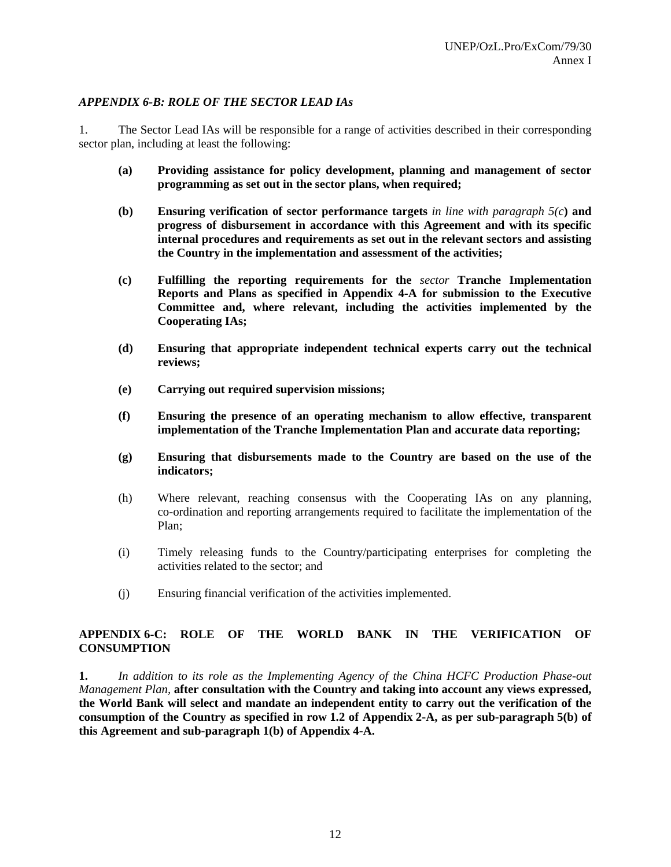# *APPENDIX 6-B: ROLE OF THE SECTOR LEAD IAs*

1. The Sector Lead IAs will be responsible for a range of activities described in their corresponding sector plan, including at least the following:

- **(a) Providing assistance for policy development, planning and management of sector programming as set out in the sector plans, when required;**
- **(b) Ensuring verification of sector performance targets** *in line with paragraph 5(c***) and progress of disbursement in accordance with this Agreement and with its specific internal procedures and requirements as set out in the relevant sectors and assisting the Country in the implementation and assessment of the activities;**
- **(c) Fulfilling the reporting requirements for the** *sector* **Tranche Implementation Reports and Plans as specified in Appendix 4-A for submission to the Executive Committee and, where relevant, including the activities implemented by the Cooperating IAs;**
- **(d) Ensuring that appropriate independent technical experts carry out the technical reviews;**
- **(e) Carrying out required supervision missions;**
- **(f) Ensuring the presence of an operating mechanism to allow effective, transparent implementation of the Tranche Implementation Plan and accurate data reporting;**
- **(g) Ensuring that disbursements made to the Country are based on the use of the indicators;**
- (h) Where relevant, reaching consensus with the Cooperating IAs on any planning, co-ordination and reporting arrangements required to facilitate the implementation of the Plan;
- (i) Timely releasing funds to the Country/participating enterprises for completing the activities related to the sector; and
- (j) Ensuring financial verification of the activities implemented.

# **APPENDIX 6-C: ROLE OF THE WORLD BANK IN THE VERIFICATION OF CONSUMPTION**

**1.** *In addition to its role as the Implementing Agency of the China HCFC Production Phase-out Management Plan,* **after consultation with the Country and taking into account any views expressed, the World Bank will select and mandate an independent entity to carry out the verification of the consumption of the Country as specified in row 1.2 of Appendix 2-A, as per sub-paragraph 5(b) of this Agreement and sub-paragraph 1(b) of Appendix 4-A.**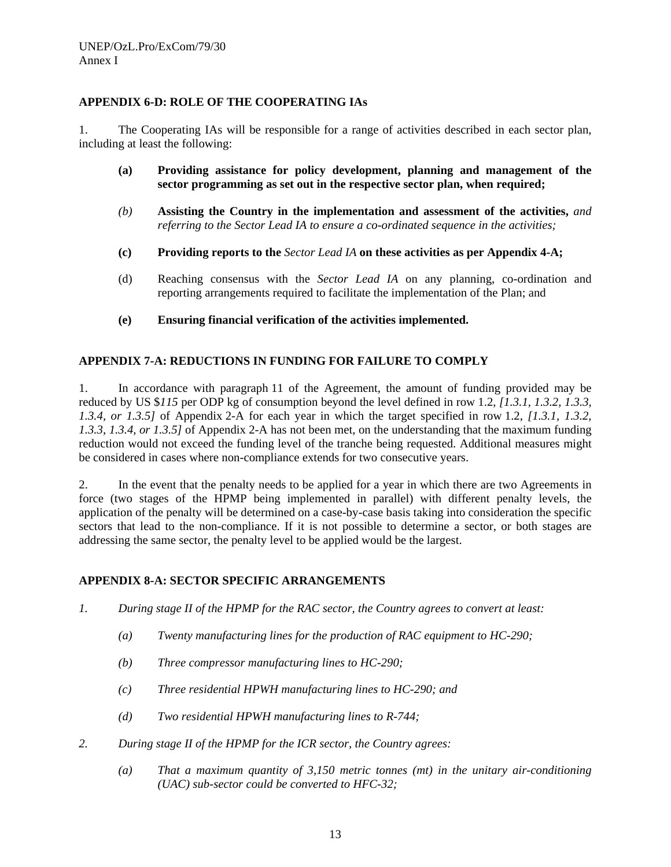# **APPENDIX 6-D: ROLE OF THE COOPERATING IAs**

1. The Cooperating IAs will be responsible for a range of activities described in each sector plan, including at least the following:

- **(a) Providing assistance for policy development, planning and management of the sector programming as set out in the respective sector plan, when required;**
- *(b)* **Assisting the Country in the implementation and assessment of the activities,** *and referring to the Sector Lead IA to ensure a co-ordinated sequence in the activities;*
- **(c) Providing reports to the** *Sector Lead IA* **on these activities as per Appendix 4-A;**
- (d) Reaching consensus with the *Sector Lead IA* on any planning, co-ordination and reporting arrangements required to facilitate the implementation of the Plan; and
- **(e) Ensuring financial verification of the activities implemented.**

# **APPENDIX 7-A: REDUCTIONS IN FUNDING FOR FAILURE TO COMPLY**

1. In accordance with paragraph 11 of the Agreement, the amount of funding provided may be reduced by US \$*115* per ODP kg of consumption beyond the level defined in row 1.2, *[1.3.1, 1.3.2, 1.3.3, 1.3.4, or 1.3.5]* of Appendix 2-A for each year in which the target specified in row 1.2, *[1.3.1, 1.3.2, 1.3.3, 1.3.4, or 1.3.5]* of Appendix 2-A has not been met, on the understanding that the maximum funding reduction would not exceed the funding level of the tranche being requested. Additional measures might be considered in cases where non-compliance extends for two consecutive years.

2. In the event that the penalty needs to be applied for a year in which there are two Agreements in force (two stages of the HPMP being implemented in parallel) with different penalty levels, the application of the penalty will be determined on a case-by-case basis taking into consideration the specific sectors that lead to the non-compliance. If it is not possible to determine a sector, or both stages are addressing the same sector, the penalty level to be applied would be the largest.

# **APPENDIX 8-A: SECTOR SPECIFIC ARRANGEMENTS**

- *1. During stage II of the HPMP for the RAC sector, the Country agrees to convert at least:* 
	- *(a) Twenty manufacturing lines for the production of RAC equipment to HC-290;*
	- *(b) Three compressor manufacturing lines to HC-290;*
	- *(c) Three residential HPWH manufacturing lines to HC-290; and*
	- *(d) Two residential HPWH manufacturing lines to R-744;*
- *2. During stage II of the HPMP for the ICR sector, the Country agrees:* 
	- *(a) That a maximum quantity of 3,150 metric tonnes (mt) in the unitary air-conditioning (UAC) sub-sector could be converted to HFC-32;*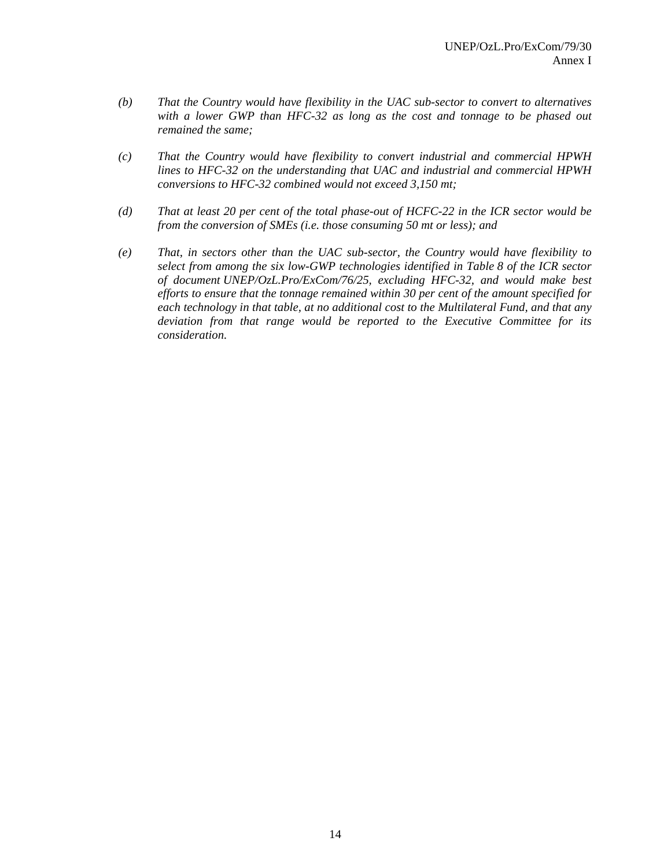- *(b) That the Country would have flexibility in the UAC sub-sector to convert to alternatives with a lower GWP than HFC-32 as long as the cost and tonnage to be phased out remained the same;*
- *(c) That the Country would have flexibility to convert industrial and commercial HPWH lines to HFC-32 on the understanding that UAC and industrial and commercial HPWH conversions to HFC-32 combined would not exceed 3,150 mt;*
- *(d) That at least 20 per cent of the total phase-out of HCFC-22 in the ICR sector would be from the conversion of SMEs (i.e. those consuming 50 mt or less); and*
- *(e) That, in sectors other than the UAC sub-sector, the Country would have flexibility to select from among the six low-GWP technologies identified in Table 8 of the ICR sector of document UNEP/OzL.Pro/ExCom/76/25, excluding HFC-32, and would make best efforts to ensure that the tonnage remained within 30 per cent of the amount specified for each technology in that table, at no additional cost to the Multilateral Fund, and that any deviation from that range would be reported to the Executive Committee for its consideration.*